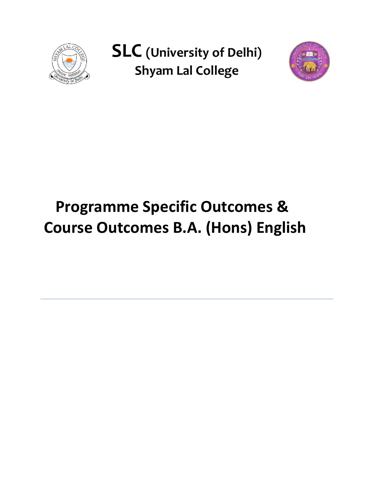

**SLC (University of Delhi) Shyam Lal College**



# **Programme Specific Outcomes & Course Outcomes B.A. (Hons) English**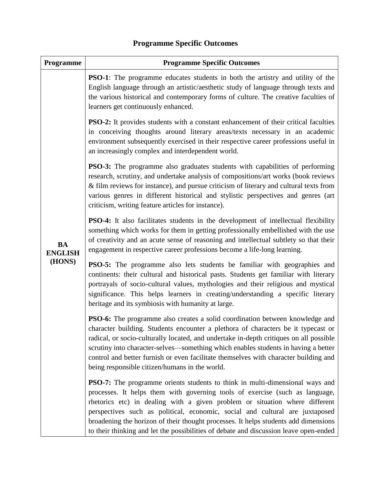| Programme                             | <b>Programme Specific Outcomes</b>                                                                                                                                                                                                                                                                                                                                                                                                                                                                                 |
|---------------------------------------|--------------------------------------------------------------------------------------------------------------------------------------------------------------------------------------------------------------------------------------------------------------------------------------------------------------------------------------------------------------------------------------------------------------------------------------------------------------------------------------------------------------------|
| <b>BA</b><br><b>ENGLISH</b><br>(HONS) | <b>PSO-1</b> : The programme educates students in both the artistry and utility of the<br>English language through an artistic/aesthetic study of language through texts and<br>the various historical and contemporary forms of culture. The creative faculties of<br>learners get continuously enhanced.                                                                                                                                                                                                         |
|                                       | <b>PSO-2:</b> It provides students with a constant enhancement of their critical faculties<br>in conceiving thoughts around literary areas/texts necessary in an academic<br>environment subsequently exercised in their respective career professions useful in<br>an increasingly complex and interdependent world.                                                                                                                                                                                              |
|                                       | <b>PSO-3:</b> The programme also graduates students with capabilities of performing<br>research, scrutiny, and undertake analysis of compositions/art works (book reviews<br>& film reviews for instance), and pursue criticism of literary and cultural texts from<br>various genres in different historical and stylistic perspectives and genres (art<br>criticism, writing feature articles for instance).                                                                                                     |
|                                       | <b>PSO-4:</b> It also facilitates students in the development of intellectual flexibility<br>something which works for them in getting professionally embellished with the use<br>of creativity and an acute sense of reasoning and intellectual subtlety so that their<br>engagement in respective career professions become a life-long learning.                                                                                                                                                                |
|                                       | <b>PSO-5:</b> The programme also lets students be familiar with geographies and<br>continents: their cultural and historical pasts. Students get familiar with literary<br>portrayals of socio-cultural values, mythologies and their religious and mystical<br>significance. This helps learners in creating/understanding a specific literary<br>heritage and its symbiosis with humanity at large.                                                                                                              |
|                                       | <b>PSO-6:</b> The programme also creates a solid coordination between knowledge and<br>character building. Students encounter a plethora of characters be it typecast or<br>radical, or socio-culturally located, and undertake in-depth critiques on all possible<br>scrutiny into character-selves—something which enables students in having a better<br>control and better furnish or even facilitate themselves with character building and<br>being responsible citizen/humans in the world.                 |
|                                       | <b>PSO-7:</b> The programme orients students to think in multi-dimensional ways and<br>processes. It helps them with governing tools of exercise (such as language,<br>rhetorics etc) in dealing with a given problem or situation where different<br>perspectives such as political, economic, social and cultural are juxtaposed<br>broadening the horizon of their thought processes. It helps students add dimensions<br>to their thinking and let the possibilities of debate and discussion leave open-ended |

# **Programme Specific Outcomes**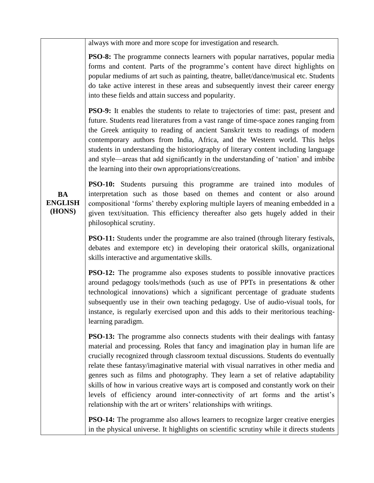always with more and more scope for investigation and research.

**PSO-8:** The programme connects learners with popular narratives, popular media forms and content. Parts of the programme's content have direct highlights on popular mediums of art such as painting, theatre, ballet/dance/musical etc. Students do take active interest in these areas and subsequently invest their career energy into these fields and attain success and popularity.

**PSO-9:** It enables the students to relate to trajectories of time: past, present and future. Students read literatures from a vast range of time-space zones ranging from the Greek antiquity to reading of ancient Sanskrit texts to readings of modern contemporary authors from India, Africa, and the Western world. This helps students in understanding the historiography of literary content including language and style—areas that add significantly in the understanding of "nation" and imbibe the learning into their own appropriations/creations.

**BA ENGLISH (HONS)**

**PSO-10:** Students pursuing this programme are trained into modules of interpretation such as those based on themes and content or also around compositional "forms" thereby exploring multiple layers of meaning embedded in a given text/situation. This efficiency thereafter also gets hugely added in their philosophical scrutiny.

**PSO-11:** Students under the programme are also trained (through literary festivals, debates and extempore etc) in developing their oratorical skills, organizational skills interactive and argumentative skills.

**PSO-12:** The programme also exposes students to possible innovative practices around pedagogy tools/methods (such as use of PPTs in presentations & other technological innovations) which a significant percentage of graduate students subsequently use in their own teaching pedagogy. Use of audio-visual tools, for instance, is regularly exercised upon and this adds to their meritorious teachinglearning paradigm.

**PSO-13:** The programme also connects students with their dealings with fantasy material and processing. Roles that fancy and imagination play in human life are crucially recognized through classroom textual discussions. Students do eventually relate these fantasy/imaginative material with visual narratives in other media and genres such as films and photography. They learn a set of relative adaptability skills of how in various creative ways art is composed and constantly work on their levels of efficiency around inter-connectivity of art forms and the artist's relationship with the art or writers' relationships with writings.

**PSO-14:** The programme also allows learners to recognize larger creative energies in the physical universe. It highlights on scientific scrutiny while it directs students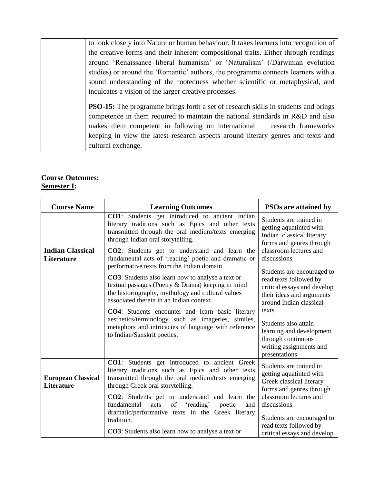to look closely into Nature or human behaviour. It takes learners into recognition of the creative forms and their inherent compositional traits. Either through readings around "Renaissance liberal humanism" or "Naturalism" (/Darwinian evolution studies) or around the "Romantic" authors, the programme connects learners with a sound understanding of the rootedness whether scientific or metaphysical, and inculcates a vision of the larger creative processes.

**PSO-15:** The programme brings forth a set of research skills in students and brings competence in them required to maintain the national standards in R&D and also makes them competent in following on international research frameworks keeping in view the latest research aspects around literary genres and texts and cultural exchange.

#### **Course Outcomes: Semester I:**

| <b>Course Name</b>                             | <b>Learning Outcomes</b>                                                                                                                                                                                                                                                                                                                                                                                                                                                                                                                                                        | <b>PSOs are attained by</b>                                                                                                                                                                                                                                                                                         |
|------------------------------------------------|---------------------------------------------------------------------------------------------------------------------------------------------------------------------------------------------------------------------------------------------------------------------------------------------------------------------------------------------------------------------------------------------------------------------------------------------------------------------------------------------------------------------------------------------------------------------------------|---------------------------------------------------------------------------------------------------------------------------------------------------------------------------------------------------------------------------------------------------------------------------------------------------------------------|
|                                                | <b>CO1</b> : Students get introduced to ancient Indian<br>literary traditions such as Epics and other texts<br>transmitted through the oral medium/texts emerging<br>through Indian oral storytelling.                                                                                                                                                                                                                                                                                                                                                                          | Students are trained in<br>getting aquatinted with<br>Indian classical literary<br>forms and genres through                                                                                                                                                                                                         |
| <b>Indian Classical</b><br><b>Literature</b>   | CO2: Students get to understand and learn the<br>fundamental acts of 'reading' poetic and dramatic or<br>performative texts from the Indian domain.<br><b>CO3</b> : Students also learn how to analyse a text or<br>textual passages (Poetry & Drama) keeping in mind<br>the historiography, mythology and cultural values<br>associated therein in an Indian context.<br><b>CO4</b> : Students encounter and learn basic literary<br>aesthetics/terminology such as imageries, similes,<br>metaphors and intricacies of language with reference<br>to Indian/Sanskrit poetics. | classroom lectures and<br>discussions<br>Students are encouraged to<br>read texts followed by<br>critical essays and develop<br>their ideas and arguments<br>around Indian classical<br>texts<br>Students also attain<br>learning and development<br>through continuous<br>writing assignments and<br>presentations |
| <b>European Classical</b><br><b>Literature</b> | <b>CO1:</b> Students get introduced to ancient Greek<br>literary traditions such as Epics and other texts<br>transmitted through the oral medium/texts emerging<br>through Greek oral storytelling.<br>CO2: Students get to understand and learn the<br>fundamental<br>acts<br>of<br>'reading'<br>poetic<br>and<br>dramatic/performative texts in the Greek literary<br>tradition.                                                                                                                                                                                              | Students are trained in<br>getting aquatinted with<br>Greek classical literary<br>forms and genres through<br>classroom lectures and<br>discussions<br>Students are encouraged to<br>read texts followed by                                                                                                         |
|                                                | <b>CO3</b> : Students also learn how to analyse a text or                                                                                                                                                                                                                                                                                                                                                                                                                                                                                                                       | critical essays and develop                                                                                                                                                                                                                                                                                         |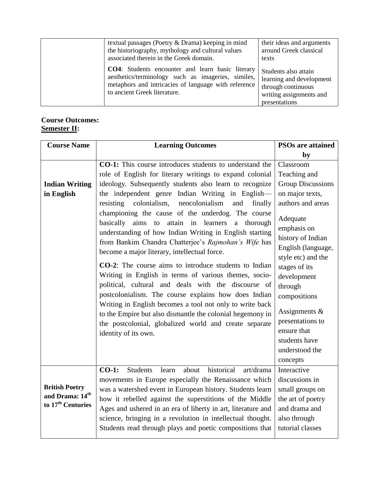| textual passages (Poetry & Drama) keeping in mind<br>the historiography, mythology and cultural values<br>associated therein in the Greek domain.                                              | their ideas and arguments<br>around Greek classical<br>texts                                                       |
|------------------------------------------------------------------------------------------------------------------------------------------------------------------------------------------------|--------------------------------------------------------------------------------------------------------------------|
| CO4: Students encounter and learn basic literary<br>aesthetics/terminology such as imageries, similes,<br>metaphors and intricacies of language with reference<br>to ancient Greek literature. | Students also attain<br>learning and development<br>through continuous<br>writing assignments and<br>presentations |

# **Course Outcomes: Semester II:**

| <b>Course Name</b>                                                        | <b>Learning Outcomes</b>                                                                                                                                                                                                                                                                                                                                                                                                                                                                                                                                                                                                                                                                                                             | <b>PSOs are attained</b>                                                                                                                                                                                                                                  |
|---------------------------------------------------------------------------|--------------------------------------------------------------------------------------------------------------------------------------------------------------------------------------------------------------------------------------------------------------------------------------------------------------------------------------------------------------------------------------------------------------------------------------------------------------------------------------------------------------------------------------------------------------------------------------------------------------------------------------------------------------------------------------------------------------------------------------|-----------------------------------------------------------------------------------------------------------------------------------------------------------------------------------------------------------------------------------------------------------|
|                                                                           |                                                                                                                                                                                                                                                                                                                                                                                                                                                                                                                                                                                                                                                                                                                                      | by                                                                                                                                                                                                                                                        |
|                                                                           | <b>CO-1:</b> This course introduces students to understand the                                                                                                                                                                                                                                                                                                                                                                                                                                                                                                                                                                                                                                                                       | Classroom                                                                                                                                                                                                                                                 |
|                                                                           | role of English for literary writings to expand colonial                                                                                                                                                                                                                                                                                                                                                                                                                                                                                                                                                                                                                                                                             | Teaching and                                                                                                                                                                                                                                              |
| <b>Indian Writing</b>                                                     | ideology. Subsequently students also learn to recognize                                                                                                                                                                                                                                                                                                                                                                                                                                                                                                                                                                                                                                                                              | <b>Group Discussions</b>                                                                                                                                                                                                                                  |
| in English                                                                | the independent genre Indian Writing in English-                                                                                                                                                                                                                                                                                                                                                                                                                                                                                                                                                                                                                                                                                     | on major texts,                                                                                                                                                                                                                                           |
|                                                                           | colonialism,<br>neocolonialism<br>resisting<br>and<br>finally                                                                                                                                                                                                                                                                                                                                                                                                                                                                                                                                                                                                                                                                        | authors and areas                                                                                                                                                                                                                                         |
|                                                                           | championing the cause of the underdog. The course<br>basically aims to<br>attain in learners<br>a<br>thorough<br>understanding of how Indian Writing in English starting<br>from Bankim Chandra Chatterjee's Rajmohan's Wife has<br>become a major literary, intellectual force.<br><b>CO-2</b> : The course aims to introduce students to Indian<br>Writing in English in terms of various themes, socio-<br>political, cultural and deals with the discourse of<br>postcolonialism. The course explains how does Indian<br>Writing in English becomes a tool not only to write back<br>to the Empire but also dismantle the colonial hegemony in<br>the postcolonial, globalized world and create separate<br>identity of its own. | Adequate<br>emphasis on<br>history of Indian<br>English (language,<br>style etc) and the<br>stages of its<br>development<br>through<br>compositions<br>Assignments $\&$<br>presentations to<br>ensure that<br>students have<br>understood the<br>concepts |
| <b>British Poetry</b><br>and Drama: 14th<br>to 17 <sup>th</sup> Centuries | $CO-1$ :<br>historical<br><b>Students</b><br>about<br>art/drama<br>learn<br>movements in Europe especially the Renaissance which<br>was a watershed event in European history. Students learn<br>how it rebelled against the superstitions of the Middle<br>Ages and ushered in an era of liberty in art, literature and<br>science, bringing in a revolution in intellectual thought.<br>Students read through plays and poetic compositions that                                                                                                                                                                                                                                                                                   | Interactive<br>discussions in<br>small groups on<br>the art of poetry<br>and drama and<br>also through<br>tutorial classes                                                                                                                                |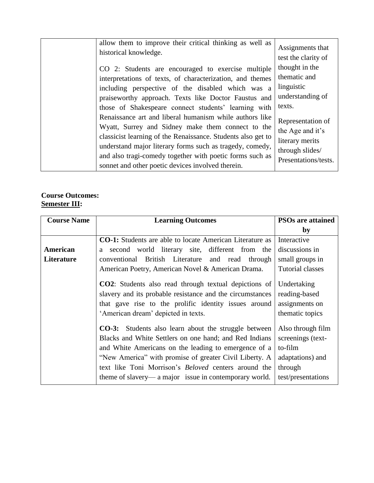allow them to improve their critical thinking as well as historical knowledge. CO 2: Students are encouraged to exercise multiple interpretations of texts, of characterization, and themes including perspective of the disabled which was a praiseworthy approach. Texts like Doctor Faustus and those of Shakespeare connect students' learning with Renaissance art and liberal humanism while authors like Wyatt, Surrey and Sidney make them connect to the classicist learning of the Renaissance. Students also get to understand major literary forms such as tragedy, comedy, and also tragi-comedy together with poetic forms such as sonnet and other poetic devices involved therein. Assignments that test the clarity of thought in the thematic and linguistic understanding of texts. Representation of the Age and it's literary merits through slides/ Presentations/tests.

#### **Course Outcomes: Semester III:**

| <b>Course Name</b> | <b>Learning Outcomes</b>                                                                                                                                                                                                                                                                                                                                  | <b>PSOs are attained</b>                                                                               |
|--------------------|-----------------------------------------------------------------------------------------------------------------------------------------------------------------------------------------------------------------------------------------------------------------------------------------------------------------------------------------------------------|--------------------------------------------------------------------------------------------------------|
|                    |                                                                                                                                                                                                                                                                                                                                                           | by                                                                                                     |
|                    | <b>CO-1:</b> Students are able to locate American Literature as                                                                                                                                                                                                                                                                                           | Interactive                                                                                            |
| American           | a second world literary site, different from the                                                                                                                                                                                                                                                                                                          | discussions in                                                                                         |
| Literature         | conventional British Literature<br>and read through                                                                                                                                                                                                                                                                                                       | small groups in                                                                                        |
|                    | American Poetry, American Novel & American Drama.                                                                                                                                                                                                                                                                                                         | <b>Tutorial classes</b>                                                                                |
|                    | <b>CO2</b> : Students also read through textual depictions of<br>slavery and its probable resistance and the circumstances<br>that gave rise to the prolific identity issues around<br>'American dream' depicted in texts.                                                                                                                                | Undertaking<br>reading-based<br>assignments on<br>thematic topics                                      |
|                    | <b>CO-3:</b> Students also learn about the struggle between<br>Blacks and White Settlers on one hand; and Red Indians<br>and White Americans on the leading to emergence of a<br>"New America" with promise of greater Civil Liberty. A<br>text like Toni Morrison's Beloved centers around the<br>theme of slavery— a major issue in contemporary world. | Also through film<br>screenings (text-<br>to-film<br>adaptations) and<br>through<br>test/presentations |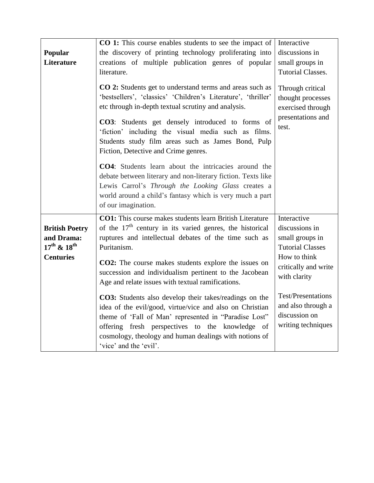|                                                                                                | CO 1: This course enables students to see the impact of                                                                                                                                                                                                                                                                                                                                                                                                                                                                                                                                                                                                            | Interactive                                                                                                                                                                                             |
|------------------------------------------------------------------------------------------------|--------------------------------------------------------------------------------------------------------------------------------------------------------------------------------------------------------------------------------------------------------------------------------------------------------------------------------------------------------------------------------------------------------------------------------------------------------------------------------------------------------------------------------------------------------------------------------------------------------------------------------------------------------------------|---------------------------------------------------------------------------------------------------------------------------------------------------------------------------------------------------------|
| Popular                                                                                        | the discovery of printing technology proliferating into                                                                                                                                                                                                                                                                                                                                                                                                                                                                                                                                                                                                            | discussions in                                                                                                                                                                                          |
| <b>Literature</b>                                                                              | creations of multiple publication genres of popular                                                                                                                                                                                                                                                                                                                                                                                                                                                                                                                                                                                                                | small groups in                                                                                                                                                                                         |
|                                                                                                | literature.                                                                                                                                                                                                                                                                                                                                                                                                                                                                                                                                                                                                                                                        | <b>Tutorial Classes.</b>                                                                                                                                                                                |
|                                                                                                | CO 2: Students get to understand terms and areas such as<br>'bestsellers', 'classics' 'Children's Literature', 'thriller'<br>etc through in-depth textual scrutiny and analysis.<br>CO3: Students get densely introduced to forms of<br>'fiction' including the visual media such as films.<br>Students study film areas such as James Bond, Pulp<br>Fiction, Detective and Crime genres.<br><b>CO4</b> : Students learn about the intricacies around the<br>debate between literary and non-literary fiction. Texts like<br>Lewis Carrol's Through the Looking Glass creates a<br>world around a child's fantasy which is very much a part<br>of our imagination. | Through critical<br>thought processes<br>exercised through<br>presentations and<br>test.                                                                                                                |
| <b>British Poetry</b><br>and Drama:<br>$17^{\text{th}}$ & $18^{\text{th}}$<br><b>Centuries</b> | CO1: This course makes students learn British Literature<br>of the $17th$ century in its varied genres, the historical<br>ruptures and intellectual debates of the time such as<br>Puritanism.<br>CO2: The course makes students explore the issues on<br>succession and individualism pertinent to the Jacobean<br>Age and relate issues with textual ramifications.<br>CO3: Students also develop their takes/readings on the<br>idea of the evil/good, virtue/vice and also on Christian<br>theme of 'Fall of Man' represented in "Paradise Lost"                                                                                                               | Interactive<br>discussions in<br>small groups in<br><b>Tutorial Classes</b><br>How to think<br>critically and write<br>with clarity<br><b>Test/Presentations</b><br>and also through a<br>discussion on |
|                                                                                                | offering fresh perspectives to the knowledge of<br>cosmology, theology and human dealings with notions of<br>'vice' and the 'evil'.                                                                                                                                                                                                                                                                                                                                                                                                                                                                                                                                | writing techniques                                                                                                                                                                                      |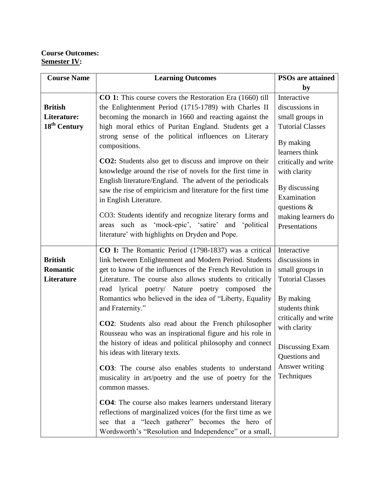## **Course Outcomes: Semester IV:**

| <b>Course Name</b>                       | <b>Learning Outcomes</b>                                                                                                                                                                                                                                                                                                | <b>PSOs are attained</b>                                                              |
|------------------------------------------|-------------------------------------------------------------------------------------------------------------------------------------------------------------------------------------------------------------------------------------------------------------------------------------------------------------------------|---------------------------------------------------------------------------------------|
|                                          |                                                                                                                                                                                                                                                                                                                         | by                                                                                    |
|                                          | CO 1: This course covers the Restoration Era (1660) till                                                                                                                                                                                                                                                                | Interactive                                                                           |
| <b>British</b>                           | the Enlightenment Period (1715-1789) with Charles II                                                                                                                                                                                                                                                                    | discussions in                                                                        |
| Literature:                              | becoming the monarch in 1660 and reacting against the                                                                                                                                                                                                                                                                   | small groups in                                                                       |
| 18 <sup>th</sup> Century                 | high moral ethics of Puritan England. Students get a                                                                                                                                                                                                                                                                    | <b>Tutorial Classes</b>                                                               |
|                                          | strong sense of the political influences on Literary<br>compositions.<br><b>CO2:</b> Students also get to discuss and improve on their                                                                                                                                                                                  | By making<br>learners think<br>critically and write                                   |
|                                          | knowledge around the rise of novels for the first time in                                                                                                                                                                                                                                                               | with clarity                                                                          |
|                                          | English literature/England. The advent of the periodicals<br>saw the rise of empiricism and literature for the first time<br>in English Literature.<br>CO3: Students identify and recognize literary forms and<br>areas such as 'mock-epic', 'satire' and 'political<br>literature' with highlights on Dryden and Pope. | By discussing<br>Examination<br>questions $\&$<br>making learners do<br>Presentations |
|                                          |                                                                                                                                                                                                                                                                                                                         |                                                                                       |
| <b>British</b><br>Romantic<br>Literature | CO I: The Romantic Period (1798-1837) was a critical<br>link between Enlightenment and Modern Period. Students<br>get to know of the influences of the French Revolution in<br>Literature. The course also allows students to critically<br>read lyrical poetry/ Nature poetry composed<br>the                          | Interactive<br>discussions in<br>small groups in<br><b>Tutorial Classes</b>           |
|                                          | Romantics who believed in the idea of "Liberty, Equality<br>and Fraternity."                                                                                                                                                                                                                                            | By making<br>students think                                                           |
|                                          | <b>CO2</b> : Students also read about the French philosopher<br>Rousseau who was an inspirational figure and his role in                                                                                                                                                                                                | critically and write<br>with clarity                                                  |
|                                          | the history of ideas and political philosophy and connect<br>his ideas with literary texts.                                                                                                                                                                                                                             | Discussing Exam<br>Questions and                                                      |
|                                          | <b>CO3</b> : The course also enables students to understand<br>musicality in art/poetry and the use of poetry for the<br>common masses.                                                                                                                                                                                 | Answer writing<br>Techniques                                                          |
|                                          | <b>CO4</b> : The course also makes learners understand literary<br>reflections of marginalized voices (for the first time as we<br>see that a "leech gatherer" becomes the hero of<br>Wordsworth's "Resolution and Independence" or a small,                                                                            |                                                                                       |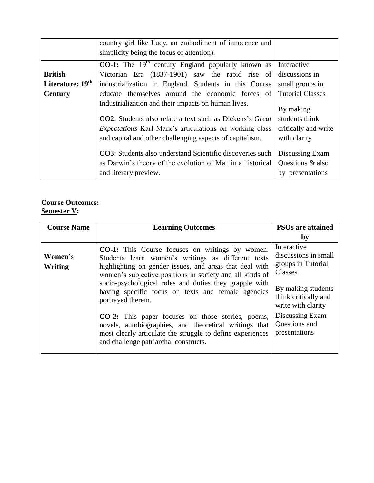|                              | country girl like Lucy, an embodiment of innocence and<br>simplicity being the focus of attention). |                         |
|------------------------------|-----------------------------------------------------------------------------------------------------|-------------------------|
|                              | $\overline{CO-1}$ : The 19 <sup>th</sup> century England popularly known as                         | Interactive             |
| <b>British</b>               | Victorian Era (1837-1901) saw the rapid rise of                                                     | discussions in          |
| Literature: 19 <sup>th</sup> | industrialization in England. Students in this Course                                               | small groups in         |
| <b>Century</b>               | educate themselves around the economic forces of                                                    | <b>Tutorial Classes</b> |
|                              | Industrialization and their impacts on human lives.                                                 | By making               |
|                              | <b>CO2</b> : Students also relate a text such as Dickens's Great                                    | students think          |
|                              | <i>Expectations</i> Karl Marx's articulations on working class                                      | critically and write    |
|                              | and capital and other challenging aspects of capitalism.                                            | with clarity            |
|                              | <b>CO3</b> : Students also understand Scientific discoveries such                                   | Discussing Exam         |
|                              | as Darwin's theory of the evolution of Man in a historical                                          | Questions & also        |
|                              | and literary preview.                                                                               | by presentations        |

# **Course Outcomes: Semester V:**

| <b>Course Name</b> | <b>Learning Outcomes</b>                                                                                                                                                                                                            | <b>PSOs are attained</b>                                             |
|--------------------|-------------------------------------------------------------------------------------------------------------------------------------------------------------------------------------------------------------------------------------|----------------------------------------------------------------------|
|                    |                                                                                                                                                                                                                                     | $\mathbf{by}$                                                        |
| Women's<br>Writing | <b>CO-1:</b> This Course focuses on writings by women.<br>Students learn women's writings as different texts<br>highlighting on gender issues, and areas that deal with<br>women's subjective positions in society and all kinds of | Interactive<br>discussions in small<br>groups in Tutorial<br>Classes |
|                    | socio-psychological roles and duties they grapple with<br>having specific focus on texts and female agencies<br>portrayed therein.                                                                                                  | By making students<br>think critically and<br>write with clarity     |
|                    | <b>CO-2:</b> This paper focuses on those stories, poems,<br>novels, autobiographies, and theoretical writings that<br>most clearly articulate the struggle to define experiences<br>and challenge patriarchal constructs.           | Discussing Exam<br>Questions and<br>presentations                    |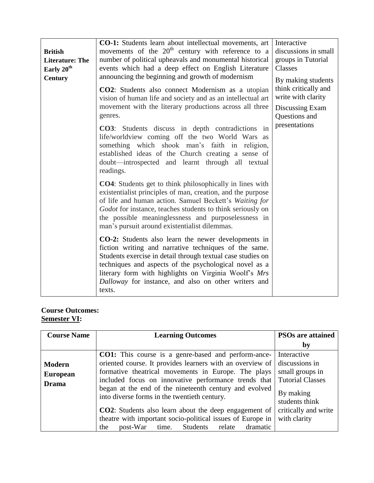|                        | <b>CO-1:</b> Students learn about intellectual movements, art                                                                                                                                                                                                                                                                                                           | Interactive                                |
|------------------------|-------------------------------------------------------------------------------------------------------------------------------------------------------------------------------------------------------------------------------------------------------------------------------------------------------------------------------------------------------------------------|--------------------------------------------|
| <b>British</b>         | movements of the $20th$ century with reference to a                                                                                                                                                                                                                                                                                                                     | discussions in small                       |
| <b>Literature: The</b> | number of political upheavals and monumental historical                                                                                                                                                                                                                                                                                                                 | groups in Tutorial                         |
| Early 20 <sup>th</sup> | events which had a deep effect on English Literature                                                                                                                                                                                                                                                                                                                    | Classes                                    |
| <b>Century</b>         | announcing the beginning and growth of modernism                                                                                                                                                                                                                                                                                                                        | By making students                         |
|                        | <b>CO2</b> : Students also connect Modernism as a utopian<br>vision of human life and society and as an intellectual art                                                                                                                                                                                                                                                | think critically and<br>write with clarity |
|                        | movement with the literary productions across all three<br>genres.                                                                                                                                                                                                                                                                                                      | Discussing Exam<br>Questions and           |
|                        | <b>CO3</b> : Students discuss in depth contradictions in<br>life/worldview coming off the two World Wars as<br>something which shook man's faith in religion,<br>established ideas of the Church creating a sense of<br>doubt—introspected and learnt through all textual<br>readings.                                                                                  | presentations                              |
|                        | <b>CO4</b> : Students get to think philosophically in lines with<br>existentialist principles of man, creation, and the purpose<br>of life and human action. Samuel Beckett's Waiting for<br>Godot for instance, teaches students to think seriously on<br>the possible meaninglessness and purposelessness in<br>man's pursuit around existentialist dilemmas.         |                                            |
|                        | <b>CO-2:</b> Students also learn the newer developments in<br>fiction writing and narrative techniques of the same.<br>Students exercise in detail through textual case studies on<br>techniques and aspects of the psychological novel as a<br>literary form with highlights on Virginia Woolf's Mrs<br>Dalloway for instance, and also on other writers and<br>texts. |                                            |

## **Course Outcomes: Semester VI:**

| <b>Course Name</b>                               | <b>Learning Outcomes</b>                                                                                                                                                                                                                                                                                                                         | <b>PSOs are attained</b>                                                                            |
|--------------------------------------------------|--------------------------------------------------------------------------------------------------------------------------------------------------------------------------------------------------------------------------------------------------------------------------------------------------------------------------------------------------|-----------------------------------------------------------------------------------------------------|
|                                                  |                                                                                                                                                                                                                                                                                                                                                  | by                                                                                                  |
| <b>Modern</b><br><b>European</b><br><b>Drama</b> | <b>CO1:</b> This course is a genre-based and perform-ance-<br>oriented course. It provides learners with an overview of<br>formative theatrical movements in Europe. The plays<br>included focus on innovative performance trends that<br>began at the end of the nineteenth century and evolved<br>into diverse forms in the twentieth century. | Interactive<br>discussions in<br>small groups in<br>Tutorial Classes<br>By making<br>students think |
|                                                  | <b>CO2</b> : Students also learn about the deep engagement of<br>theatre with important socio-political issues of Europe in<br>dramatic<br>post-War<br>time. Students<br>relate<br>the                                                                                                                                                           | critically and write<br>with clarity                                                                |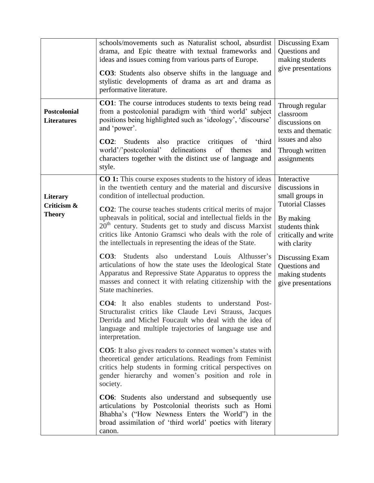|                                           | schools/movements such as Naturalist school, absurdist<br>drama, and Epic theatre with textual frameworks and<br>ideas and issues coming from various parts of Europe.<br><b>CO3</b> : Students also observe shifts in the language and<br>stylistic developments of drama as art and drama as<br>performative literature.                                                                                                                                                                                                                                                                                                                                                                                                                                                                                                                                                                                                                                                                                                                                                                                                                                                                                                                                                                                                                                                                                                                                                                                                               | Discussing Exam<br>Questions and<br>making students<br>give presentations                                                                                                                                                       |
|-------------------------------------------|------------------------------------------------------------------------------------------------------------------------------------------------------------------------------------------------------------------------------------------------------------------------------------------------------------------------------------------------------------------------------------------------------------------------------------------------------------------------------------------------------------------------------------------------------------------------------------------------------------------------------------------------------------------------------------------------------------------------------------------------------------------------------------------------------------------------------------------------------------------------------------------------------------------------------------------------------------------------------------------------------------------------------------------------------------------------------------------------------------------------------------------------------------------------------------------------------------------------------------------------------------------------------------------------------------------------------------------------------------------------------------------------------------------------------------------------------------------------------------------------------------------------------------------|---------------------------------------------------------------------------------------------------------------------------------------------------------------------------------------------------------------------------------|
| <b>Postcolonial</b><br><b>Literatures</b> | <b>CO1</b> : The course introduces students to texts being read<br>from a postcolonial paradigm with 'third world' subject<br>positions being highlighted such as 'ideology', 'discourse'<br>and 'power'.<br>CO2:<br>Students also practice critiques<br>of 'third<br>world'/'postcolonial' delineations<br>of themes<br>and<br>characters together with the distinct use of language and<br>style.                                                                                                                                                                                                                                                                                                                                                                                                                                                                                                                                                                                                                                                                                                                                                                                                                                                                                                                                                                                                                                                                                                                                      | Through regular<br>classroom<br>discussions on<br>texts and thematic<br>issues and also<br>Through written<br>assignments                                                                                                       |
| Literary<br>Criticism &<br><b>Theory</b>  | <b>CO 1:</b> This course exposes students to the history of ideas<br>in the twentieth century and the material and discursive<br>condition of intellectual production.<br><b>CO2</b> : The course teaches students critical merits of major<br>upheavals in political, social and intellectual fields in the<br>$20th$ century. Students get to study and discuss Marxist<br>critics like Antonio Gramsci who deals with the role of<br>the intellectuals in representing the ideas of the State.<br><b>CO3:</b> Students also understand Louis Althusser's<br>articulations of how the state uses the Ideological State<br>Apparatus and Repressive State Apparatus to oppress the<br>masses and connect it with relating citizenship with the<br>State machineries.<br><b>CO4:</b> It also enables students to understand Post-<br>Structuralist critics like Claude Levi Strauss, Jacques<br>Derrida and Michel Foucault who deal with the idea of<br>language and multiple trajectories of language use and<br>interpretation.<br><b>CO5</b> : It also gives readers to connect women's states with<br>theoretical gender articulations. Readings from Feminist<br>critics help students in forming critical perspectives on<br>gender hierarchy and women's position and role in<br>society.<br><b>CO6</b> : Students also understand and subsequently use<br>articulations by Postcolonial theorists such as Homi<br>Bhabha's ("How Newness Enters the World") in the<br>broad assimilation of 'third world' poetics with literary | Interactive<br>discussions in<br>small groups in<br><b>Tutorial Classes</b><br>By making<br>students think<br>critically and write<br>with clarity<br>Discussing Exam<br>Questions and<br>making students<br>give presentations |